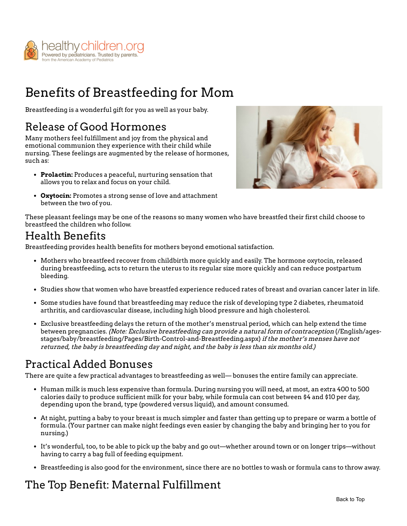

# Benefits of Breastfeeding for Mom

Breastfeeding is a wonderful gift for you as well as your baby.

#### Release of Good Hormones

Many mothers feel fulfillment and joy from the physical and emotional communion they experience with their child while nursing. These feelings are augmented by the release of hormones, such as:

**Prolactin:** Produces a peaceful, nurturing sensation that allows you to relax and focus on your child.



**Oxytocin:** Promotes a strong sense of love and attachment between the two of you.

These pleasant feelings may be one of the reasons so many women who have breastfed their first child choose to breastfeed the children who follow.

# Health Benefits

Breastfeeding provides health benefits for mothers beyond emotional satisfaction.

- Mothers who breastfeed recover from childbirth more quickly and easily. The hormone oxytocin, released during breastfeeding, acts to return the uterus to its regular size more quickly and can reduce postpartum bleeding.
- Studies show that women who have breastfed experience reduced rates of breast and ovarian cancer later in life.
- Some studies have found that breastfeeding may reduce the risk of developing type 2 diabetes, rheumatoid arthritis, and cardiovascular disease, including high blood pressure and high cholesterol.
- Exclusive breastfeeding delays the return of the mother's menstrual period, which can help extend the time between pregnancies. (Note: Exclusive breastfeeding can provide a natural form of contraception (/English/ages[stages/baby/breastfeeding/Pages/Birth-Control-and-Breastfeeding.aspx\)](https://www.healthychildren.org/English/ages-stages/baby/breastfeeding/Pages/Birth-Control-and-Breastfeeding.aspx) if the mother's menses have not returned, the baby is breastfeeding day and night, and the baby is less than six months old.)

# Practical Added Bonuses

There are quite a few practical advantages to breastfeeding as well— bonuses the entire family can appreciate.

- Human milk is much less expensive than formula. During nursing you will need, at most, an extra 400 to 500 calories daily to produce sufficient milk for your baby, while formula can cost between \$4 and \$10 per day, depending upon the brand, type (powdered versus liquid), and amount consumed.
- At night, putting a baby to your breast is much simpler and faster than getting up to prepare or warm a bottle of formula. (Your partner can make night feedings even easier by changing the baby and bringing her to you for nursing.)
- It's wonderful, too, to be able to pick up the baby and go out—whether around town or on longer trips—without having to carry a bag full of feeding equipment.
- Breastfeeding is also good for the environment, since there are no bottles to wash or formula cans to throw away.

# The Top Benefit: Maternal Fulfillment